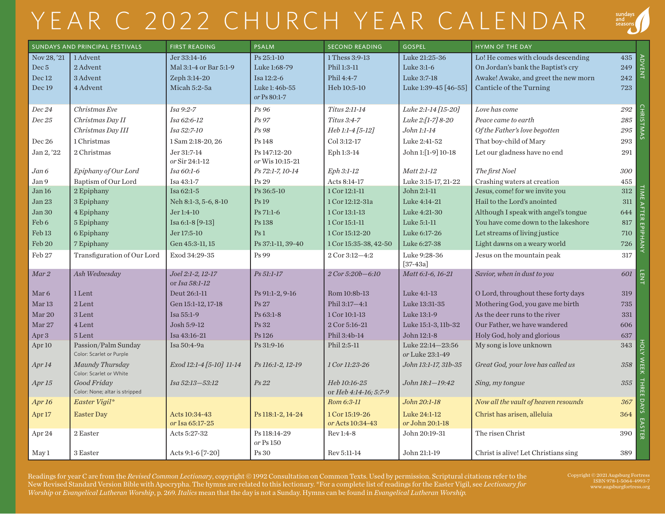## YEAR C 2022 CHURCH YEAR CALENDAR



| SUNDAYS AND PRINCIPAL FESTIVALS |                                            | <b>FIRST READING</b>     | <b>PSALM</b>              | <b>SECOND READING</b> | <b>GOSPEL</b>                   | HYMN OF THE DAY                      |         |                           |
|---------------------------------|--------------------------------------------|--------------------------|---------------------------|-----------------------|---------------------------------|--------------------------------------|---------|---------------------------|
| Nov 28, '21                     | 1 Advent                                   | Jer 33:14-16             | Ps 25:1-10                | 1 Thess 3:9-13        | Luke 21:25-36                   | Lo! He comes with clouds descending  | 435     |                           |
| Dec <sub>5</sub>                | 2 Advent                                   | Mal 3:1-4 or Bar 5:1-9   | Luke 1:68-79              | Phil 1:3-11           | Luke 3:1-6                      | On Jordan's bank the Baptist's cry   | 249     | <b>ADVENT</b>             |
| Dec 12                          | 3 Advent                                   | Zeph 3:14-20             | Isa 12:2-6                | Phil 4:4-7            | Luke 3:7-18                     | Awake! Awake, and greet the new morn | 242     |                           |
| Dec 19                          | 4 Advent                                   | Micah 5:2-5a             | Luke 1: 46b-55            | Heb 10:5-10           | Luke 1:39-45 [46-55]            | Canticle of the Turning              | 723     |                           |
|                                 |                                            |                          | or Ps 80:1-7              |                       |                                 |                                      |         |                           |
| Dec 24                          | Christmas Eve                              | Isa 9:2-7                | Ps 96                     | Titus 2:11-14         | Luke 2:1-14 [15-20]             | Love has come                        | 292     | <b>CHRISTMAS</b>          |
| Dec 25                          | Christmas Day II                           | Isa 62:6-12              | Ps 97                     | Titus 3:4-7           | Luke 2:[1-7] 8-20               | Peace came to earth                  | 285     |                           |
|                                 | Christmas Day III                          | Isa 52:7-10              | Ps 98                     | Heb 1:1-4 [5-12]      | John 1:1-14                     | Of the Father's love begotten        | 295     |                           |
| Dec 26                          | 1 Christmas                                | 1 Sam 2:18-20, 26        | Ps 148                    | Col 3:12-17           | Luke 2:41-52                    | That boy-child of Mary               | 293     |                           |
| Jan 2, '22                      | 2 Christmas                                | Jer 31:7-14              | Ps 147:12-20              | Eph 1:3-14            | John 1:[1-9] 10-18              | Let our gladness have no end         | 291     |                           |
|                                 |                                            | or Sir 24:1-12           | or Wis 10:15-21           |                       |                                 |                                      |         |                           |
| Jan 6                           | Epiphany of Our Lord                       | Isa 60:1-6               | Ps 72:1-7, 10-14          | Eph 3:1-12            | Matt 2:1-12                     | The first Noel                       | 300     |                           |
| Jan 9                           | Baptism of Our Lord                        | Isa 43:1-7               | Ps 29                     | Acts 8:14-17          | Luke 3:15-17, 21-22             | Crashing waters at creation          | 455     |                           |
| Jan 16                          | 2 Epiphany                                 | Isa 62:1-5               | Ps 36:5-10                | 1 Cor 12:1-11         | John 2:1-11                     | Jesus, come! for we invite you       | 312     |                           |
| Jan 23                          | 3 Epiphany                                 | Neh 8:1-3, 5-6, 8-10     | Ps 19                     | 1 Cor 12:12-31a       | Luke 4:14-21                    | Hail to the Lord's anointed          | 311     |                           |
| Jan 30                          | 4 Epiphany                                 | Jer 1:4-10               | Ps 71:1-6                 | 1 Cor 13:1-13         | Luke 4:21-30                    | Although I speak with angel's tongue | 644     |                           |
| Feb 6                           | 5 Epiphany                                 | Isa 6:1-8 [9-13]         | Ps 138                    | 1 Cor 15:1-11         | Luke 5:1-11                     | You have come down to the lakeshore  | 817     |                           |
| Feb <sub>13</sub>               | 6 Epiphany                                 | Jer 17:5-10              | Ps <sub>1</sub>           | 1 Cor 15:12-20        | Luke 6:17-26                    | Let streams of living justice        | 710     |                           |
| Feb 20                          | 7 Epiphany                                 | Gen 45:3-11, 15          | Ps 37:1-11, 39-40         | 1 Cor 15:35-38, 42-50 | Luke 6:27-38                    | Light dawns on a weary world         | 726     | <b>IME AFTER EPIPHANY</b> |
| Feb 27                          | Transfiguration of Our Lord                | Exod 34:29-35            | Ps 99                     | 2 Cor 3:12-4:2        | Luke 9:28-36                    | Jesus on the mountain peak           | 317     |                           |
| Mar 2                           | Ash Wednesday                              | Joel 2:1-2, 12-17        | Ps 51:1-17                | 2 Cor 5:20b-6:10      | $[37-43a]$<br>Matt 6:1-6, 16-21 | Savior, when in dust to you          | 601     |                           |
|                                 |                                            | or Isa 58:1-12           |                           |                       |                                 |                                      |         | <b>LENT</b>               |
| Mar <sub>6</sub>                | 1 Lent                                     | Deut 26:1-11             | Ps 91:1-2, 9-16           | Rom 10:8b-13          | Luke 4:1-13                     | O Lord, throughout these forty days  | 319     |                           |
| Mar <sub>13</sub>               | 2 Lent                                     | Gen 15:1-12, 17-18       | Ps 27                     | Phil 3:17-4:1         | Luke 13:31-35                   | Mothering God, you gave me birth     | 735     |                           |
| Mar <sub>20</sub>               | 3 Lent                                     | Isa 55:1-9               | Ps 63:1-8                 | 1 Cor 10:1-13         | Luke 13:1-9                     | As the deer runs to the river        | 331     |                           |
| Mar 27                          | 4 Lent                                     | Josh 5:9-12              | Ps 32                     | 2 Cor 5:16-21         | Luke 15:1-3, 11b-32             | Our Father, we have wandered         | 606     |                           |
| Apr 3                           | 5 Lent                                     | Isa 43:16-21             | Ps 126                    | Phil 3:4b-14          | John 12:1-8                     | Holy God, holy and glorious          | 637     |                           |
| Apr <sub>10</sub>               | Passion/Palm Sunday                        | Isa 50:4-9a              | Ps 31:9-16                | Phil 2:5-11           | Luke 22:14-23:56                | My song is love unknown              | 343     | HOLK                      |
|                                 | Color: Scarlet or Purple                   |                          |                           |                       | or Luke 23:1-49                 |                                      |         |                           |
| Apr <sub>14</sub>               | Maundy Thursday<br>Color: Scarlet or White | Exod 12:1-4 [5-10] 11-14 | Ps 116:1-2, 12-19         | 1 Cor 11:23-26        | John 13:1-17, 31b-35            | Great God, your love has called us   | $358\,$ | WEEK                      |
| Apr <sub>15</sub>               | Good Friday                                | Isa 52:13-53:12          | Ps 22                     | Heb 10:16-25          | John 18:1-19:42                 | Sing, my tongue                      | 355     |                           |
|                                 | Color: None; altar is stripped             |                          |                           | or Heb 4:14-16; 5:7-9 |                                 |                                      |         |                           |
| Apr <sub>16</sub>               | Easter Vigil*                              |                          |                           | Rom 6:3-11            | John 20:1-18                    | Now all the vault of heaven resounds | 367     | THREE DAYS                |
| Apr <sub>17</sub>               | <b>Easter Day</b>                          | Acts 10:34-43            | Ps 118:1-2, 14-24         | 1 Cor 15:19-26        | Luke 24:1-12                    | Christ has arisen, alleluia          | 364     |                           |
|                                 |                                            | or Isa 65:17-25          |                           | or Acts 10:34-43      | or John 20:1-18                 |                                      |         | EASTER                    |
| Apr 24                          | 2 Easter                                   | Acts 5:27-32             | Ps 118:14-29<br>or Ps 150 | Rev 1:4-8             | John 20:19-31                   | The risen Christ                     | 390     |                           |
| May 1                           | 3 Easter                                   | Acts 9:1-6 [7-20]        | Ps 30                     | Rev 5:11-14           | John 21:1-19                    | Christ is alive! Let Christians sing | 389     |                           |

Readings for year C are from the *Revised Common Lectionary*, copyright © 1992 Consultation on Common Texts. Used by permission. Scriptural citations refer to the New Revised Standard Version Bible with Apocrypha. The hymns are related to this lectionary. \*For a complete list of readings for the Easter Vigil, see *Lectionary for Worship* or *Evangelical Lutheran Worship*, p. 269. *Italics* mean that the day is not a Sunday. Hymns can be found in *Evangelical Lutheran Worship.*

Copyright © 2021 Augsburg Fortress ISBN 978-1-5064-4993-7